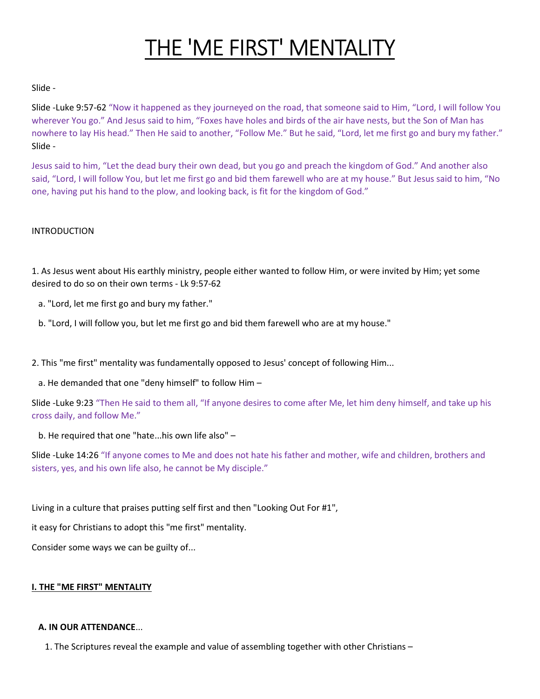# THE 'ME FIRST' MENTALITY

## Slide -

Slide -Luke 9:57-62 "Now it happened as they journeyed on the road, that someone said to Him, "Lord, I will follow You wherever You go." And Jesus said to him, "Foxes have holes and birds of the air have nests, but the Son of Man has nowhere to lay His head." Then He said to another, "Follow Me." But he said, "Lord, let me first go and bury my father." Slide -

Jesus said to him, "Let the dead bury their own dead, but you go and preach the kingdom of God." And another also said, "Lord, I will follow You, but let me first go and bid them farewell who are at my house." But Jesus said to him, "No one, having put his hand to the plow, and looking back, is fit for the kingdom of God."

## INTRODUCTION

1. As Jesus went about His earthly ministry, people either wanted to follow Him, or were invited by Him; yet some desired to do so on their own terms - Lk 9:57-62

a. "Lord, let me first go and bury my father."

b. "Lord, I will follow you, but let me first go and bid them farewell who are at my house."

2. This "me first" mentality was fundamentally opposed to Jesus' concept of following Him...

a. He demanded that one "deny himself" to follow Him –

Slide -Luke 9:23 "Then He said to them all, "If anyone desires to come after Me, let him deny himself, and take up his cross daily, and follow Me."

b. He required that one "hate...his own life also" –

Slide -Luke 14:26 "If anyone comes to Me and does not hate his father and mother, wife and children, brothers and sisters, yes, and his own life also, he cannot be My disciple."

Living in a culture that praises putting self first and then "Looking Out For #1",

it easy for Christians to adopt this "me first" mentality.

Consider some ways we can be guilty of...

## I. THE "ME FIRST" MENTALITY

## A. IN OUR ATTENDANCE...

1. The Scriptures reveal the example and value of assembling together with other Christians –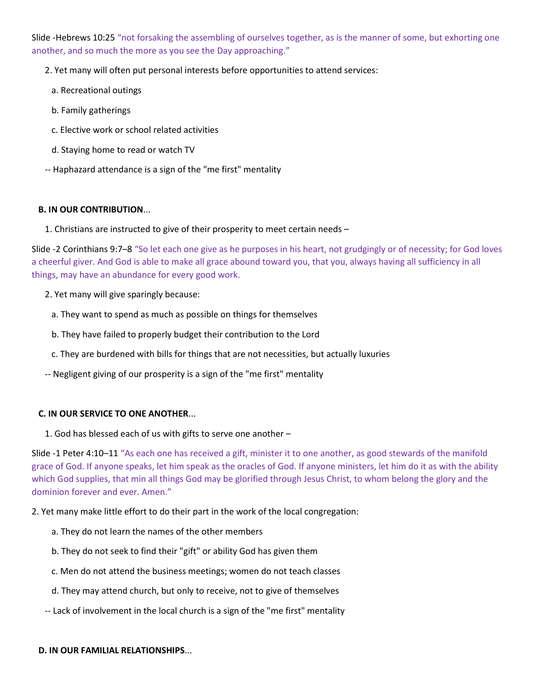Slide -Hebrews 10:25 "not forsaking the assembling of ourselves together, as is the manner of some, but exhorting one another, and so much the more as you see the Day approaching."

2. Yet many will often put personal interests before opportunities to attend services:

- a. Recreational outings
- b. Family gatherings
- c. Elective work or school related activities
- d. Staying home to read or watch TV
- -- Haphazard attendance is a sign of the "me first" mentality

## B. IN OUR CONTRIBUTION...

1. Christians are instructed to give of their prosperity to meet certain needs –

Slide -2 Corinthians 9:7–8 "So let each one give as he purposes in his heart, not grudgingly or of necessity; for God loves a cheerful giver. And God is able to make all grace abound toward you, that you, always having all sufficiency in all things, may have an abundance for every good work.

- 2. Yet many will give sparingly because:
	- a. They want to spend as much as possible on things for themselves
	- b. They have failed to properly budget their contribution to the Lord
- c. They are burdened with bills for things that are not necessities, but actually luxuries
- -- Negligent giving of our prosperity is a sign of the "me first" mentality

## C. IN OUR SERVICE TO ONE ANOTHER...

1. God has blessed each of us with gifts to serve one another –

Slide -1 Peter 4:10–11 "As each one has received a gift, minister it to one another, as good stewards of the manifold grace of God. If anyone speaks, let him speak as the oracles of God. If anyone ministers, let him do it as with the ability which God supplies, that min all things God may be glorified through Jesus Christ, to whom belong the glory and the dominion forever and ever. Amen."

2. Yet many make little effort to do their part in the work of the local congregation:

- a. They do not learn the names of the other members
- b. They do not seek to find their "gift" or ability God has given them
- c. Men do not attend the business meetings; women do not teach classes
- d. They may attend church, but only to receive, not to give of themselves
- -- Lack of involvement in the local church is a sign of the "me first" mentality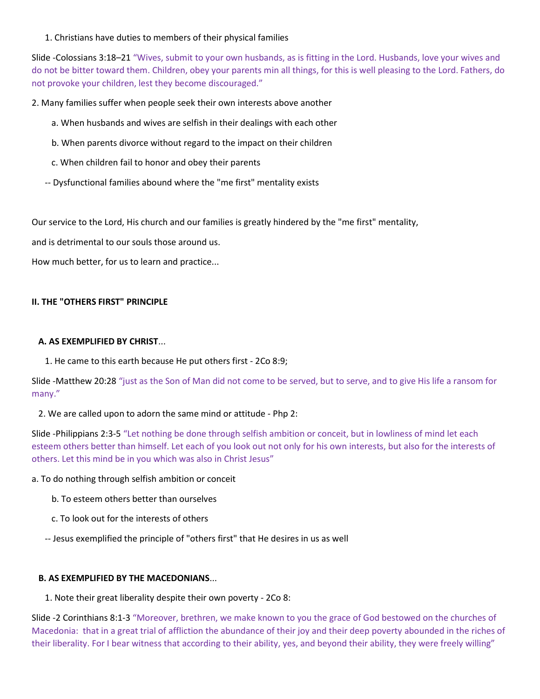1. Christians have duties to members of their physical families

Slide -Colossians 3:18–21 "Wives, submit to your own husbands, as is fitting in the Lord. Husbands, love your wives and do not be bitter toward them. Children, obey your parents min all things, for this is well pleasing to the Lord. Fathers, do not provoke your children, lest they become discouraged."

2. Many families suffer when people seek their own interests above another

- a. When husbands and wives are selfish in their dealings with each other
- b. When parents divorce without regard to the impact on their children
- c. When children fail to honor and obey their parents
- -- Dysfunctional families abound where the "me first" mentality exists

Our service to the Lord, His church and our families is greatly hindered by the "me first" mentality,

and is detrimental to our souls those around us.

How much better, for us to learn and practice...

## II. THE "OTHERS FIRST" PRINCIPLE

## A. AS EXEMPLIFIED BY CHRIST...

1. He came to this earth because He put others first - 2Co 8:9;

Slide -Matthew 20:28 "just as the Son of Man did not come to be served, but to serve, and to give His life a ransom for many."

## 2. We are called upon to adorn the same mind or attitude - Php 2:

Slide -Philippians 2:3-5 "Let nothing be done through selfish ambition or conceit, but in lowliness of mind let each esteem others better than himself. Let each of you look out not only for his own interests, but also for the interests of others. Let this mind be in you which was also in Christ Jesus"

a. To do nothing through selfish ambition or conceit

- b. To esteem others better than ourselves
- c. To look out for the interests of others
- -- Jesus exemplified the principle of "others first" that He desires in us as well

## B. AS EXEMPLIFIED BY THE MACEDONIANS...

1. Note their great liberality despite their own poverty - 2Co 8:

Slide -2 Corinthians 8:1-3 "Moreover, brethren, we make known to you the grace of God bestowed on the churches of Macedonia: that in a great trial of affliction the abundance of their joy and their deep poverty abounded in the riches of their liberality. For I bear witness that according to their ability, yes, and beyond their ability, they were freely willing"